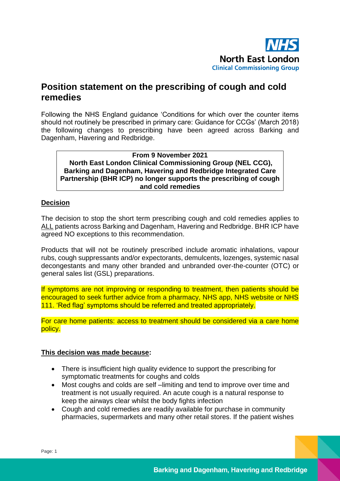

## **Position statement on the prescribing of cough and cold remedies**

Following the NHS England guidance 'Conditions for which over the counter items should not routinely be prescribed in primary care: Guidance for CCGs' (March 2018) the following changes to prescribing have been agreed across Barking and Dagenham, Havering and Redbridge.

**From 9 November 2021 North East London Clinical Commissioning Group (NEL CCG), Barking and Dagenham, Havering and Redbridge Integrated Care Partnership (BHR ICP) no longer supports the prescribing of cough and cold remedies**

## **Decision**

The decision to stop the short term prescribing cough and cold remedies applies to ALL patients across Barking and Dagenham, Havering and Redbridge. BHR ICP have agreed NO exceptions to this recommendation.

Products that will not be routinely prescribed include aromatic inhalations, vapour rubs, cough suppressants and/or expectorants, demulcents, lozenges, systemic nasal decongestants and many other branded and unbranded over-the-counter (OTC) or general sales list (GSL) preparations.

If symptoms are not improving or responding to treatment, then patients should be encouraged to seek further advice from a pharmacy, NHS app, NHS website or NHS 111. 'Red flag' symptoms should be referred and treated appropriately.

For care home patients: access to treatment should be considered via a care home policy.

## **This decision was made because:**

- There is insufficient high quality evidence to support the prescribing for symptomatic treatments for coughs and colds
- Most coughs and colds are self-limiting and tend to improve over time and treatment is not usually required. An acute cough is a natural response to keep the airways clear whilst the body fights infection
- Cough and cold remedies are readily available for purchase in community pharmacies, supermarkets and many other retail stores. If the patient wishes